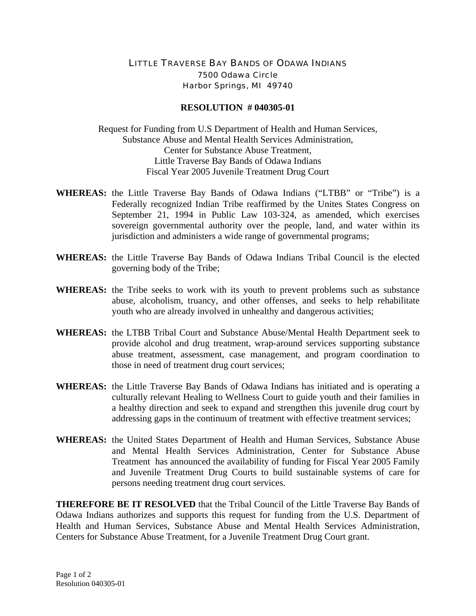## LITTLE TRAVERSE BAY BANDS OF ODAWA INDIANS 7500 Odawa Circle Harbor Springs, MI 49740

## **RESOLUTION # 040305-01**

Request for Funding from U.S Department of Health and Human Services, Substance Abuse and Mental Health Services Administration, Center for Substance Abuse Treatment, Little Traverse Bay Bands of Odawa Indians Fiscal Year 2005 Juvenile Treatment Drug Court

- **WHEREAS:** the Little Traverse Bay Bands of Odawa Indians ("LTBB" or "Tribe") is a Federally recognized Indian Tribe reaffirmed by the Unites States Congress on September 21, 1994 in Public Law 103-324, as amended, which exercises sovereign governmental authority over the people, land, and water within its jurisdiction and administers a wide range of governmental programs;
- **WHEREAS:** the Little Traverse Bay Bands of Odawa Indians Tribal Council is the elected governing body of the Tribe;
- **WHEREAS:** the Tribe seeks to work with its youth to prevent problems such as substance abuse, alcoholism, truancy, and other offenses, and seeks to help rehabilitate youth who are already involved in unhealthy and dangerous activities;
- **WHEREAS:** the LTBB Tribal Court and Substance Abuse/Mental Health Department seek to provide alcohol and drug treatment, wrap-around services supporting substance abuse treatment, assessment, case management, and program coordination to those in need of treatment drug court services;
- **WHEREAS:** the Little Traverse Bay Bands of Odawa Indians has initiated and is operating a culturally relevant Healing to Wellness Court to guide youth and their families in a healthy direction and seek to expand and strengthen this juvenile drug court by addressing gaps in the continuum of treatment with effective treatment services;
- **WHEREAS:** the United States Department of Health and Human Services, Substance Abuse and Mental Health Services Administration, Center for Substance Abuse Treatment has announced the availability of funding for Fiscal Year 2005 Family and Juvenile Treatment Drug Courts to build sustainable systems of care for persons needing treatment drug court services.

**THEREFORE BE IT RESOLVED** that the Tribal Council of the Little Traverse Bay Bands of Odawa Indians authorizes and supports this request for funding from the U.S. Department of Health and Human Services, Substance Abuse and Mental Health Services Administration, Centers for Substance Abuse Treatment, for a Juvenile Treatment Drug Court grant.